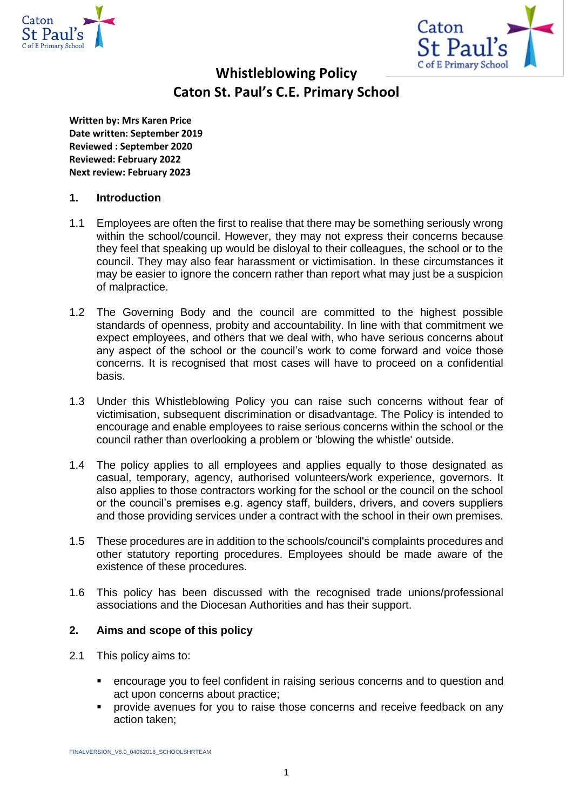



# **Whistleblowing Policy Caton St. Paul's C.E. Primary School**

**Written by: Mrs Karen Price Date written: September 2019 Reviewed : September 2020 Reviewed: February 2022 Next review: February 2023**

# **1. Introduction**

- 1.1 Employees are often the first to realise that there may be something seriously wrong within the school/council. However, they may not express their concerns because they feel that speaking up would be disloyal to their colleagues, the school or to the council. They may also fear harassment or victimisation. In these circumstances it may be easier to ignore the concern rather than report what may just be a suspicion of malpractice.
- 1.2 The Governing Body and the council are committed to the highest possible standards of openness, probity and accountability. In line with that commitment we expect employees, and others that we deal with, who have serious concerns about any aspect of the school or the council's work to come forward and voice those concerns. It is recognised that most cases will have to proceed on a confidential basis.
- 1.3 Under this Whistleblowing Policy you can raise such concerns without fear of victimisation, subsequent discrimination or disadvantage. The Policy is intended to encourage and enable employees to raise serious concerns within the school or the council rather than overlooking a problem or 'blowing the whistle' outside.
- 1.4 The policy applies to all employees and applies equally to those designated as casual, temporary, agency, authorised volunteers/work experience, governors. It also applies to those contractors working for the school or the council on the school or the council's premises e.g. agency staff, builders, drivers, and covers suppliers and those providing services under a contract with the school in their own premises.
- 1.5 These procedures are in addition to the schools/council's complaints procedures and other statutory reporting procedures. Employees should be made aware of the existence of these procedures.
- 1.6 This policy has been discussed with the recognised trade unions/professional associations and the Diocesan Authorities and has their support.

# **2. Aims and scope of this policy**

- 2.1 This policy aims to:
	- encourage you to feel confident in raising serious concerns and to question and act upon concerns about practice;
	- provide avenues for you to raise those concerns and receive feedback on any action taken;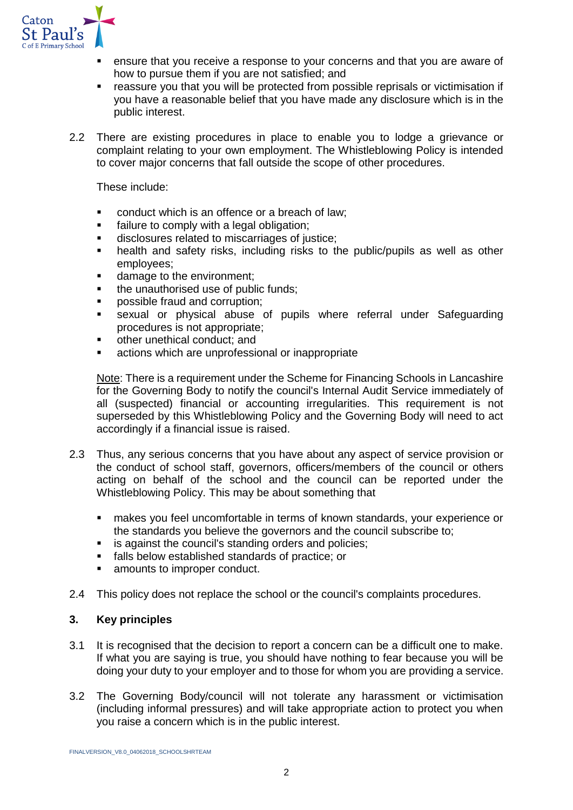

- ensure that you receive a response to your concerns and that you are aware of how to pursue them if you are not satisfied; and
- reassure you that you will be protected from possible reprisals or victimisation if you have a reasonable belief that you have made any disclosure which is in the public interest.
- 2.2 There are existing procedures in place to enable you to lodge a grievance or complaint relating to your own employment. The Whistleblowing Policy is intended to cover major concerns that fall outside the scope of other procedures.

These include:

- conduct which is an offence or a breach of law;
- **■** failure to comply with a legal obligation;
- disclosures related to miscarriages of justice;
- health and safety risks, including risks to the public/pupils as well as other employees;
- damage to the environment:
- the unauthorised use of public funds;
- possible fraud and corruption;
- sexual or physical abuse of pupils where referral under Safeguarding procedures is not appropriate;
- other unethical conduct; and
- actions which are unprofessional or inappropriate

Note: There is a requirement under the Scheme for Financing Schools in Lancashire for the Governing Body to notify the council's Internal Audit Service immediately of all (suspected) financial or accounting irregularities. This requirement is not superseded by this Whistleblowing Policy and the Governing Body will need to act accordingly if a financial issue is raised.

- 2.3 Thus, any serious concerns that you have about any aspect of service provision or the conduct of school staff, governors, officers/members of the council or others acting on behalf of the school and the council can be reported under the Whistleblowing Policy. This may be about something that
	- makes you feel uncomfortable in terms of known standards, your experience or the standards you believe the governors and the council subscribe to;
	- is against the council's standing orders and policies;
	- falls below established standards of practice; or
	- amounts to improper conduct.
- 2.4 This policy does not replace the school or the council's complaints procedures.

# **3. Key principles**

- 3.1 It is recognised that the decision to report a concern can be a difficult one to make. If what you are saying is true, you should have nothing to fear because you will be doing your duty to your employer and to those for whom you are providing a service.
- 3.2 The Governing Body/council will not tolerate any harassment or victimisation (including informal pressures) and will take appropriate action to protect you when you raise a concern which is in the public interest.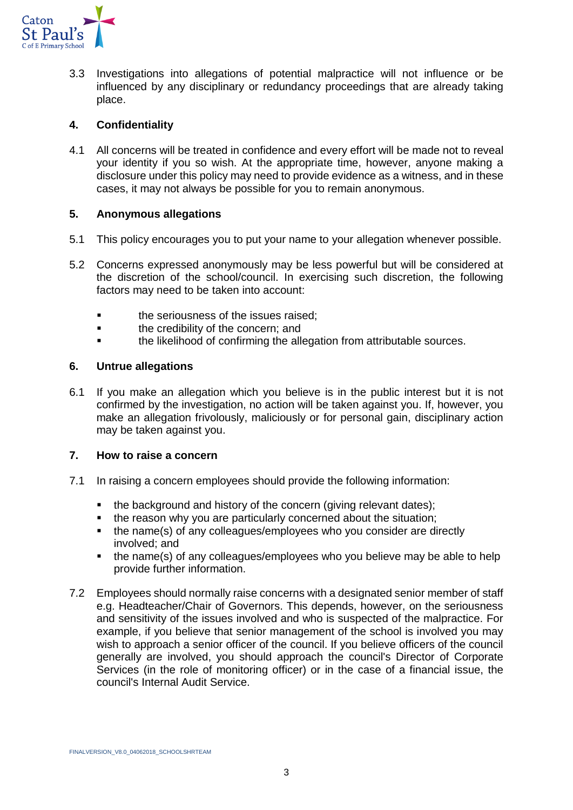

3.3 Investigations into allegations of potential malpractice will not influence or be influenced by any disciplinary or redundancy proceedings that are already taking place.

# **4. Confidentiality**

4.1 All concerns will be treated in confidence and every effort will be made not to reveal your identity if you so wish. At the appropriate time, however, anyone making a disclosure under this policy may need to provide evidence as a witness, and in these cases, it may not always be possible for you to remain anonymous.

# **5. Anonymous allegations**

- 5.1 This policy encourages you to put your name to your allegation whenever possible.
- 5.2 Concerns expressed anonymously may be less powerful but will be considered at the discretion of the school/council. In exercising such discretion, the following factors may need to be taken into account:
	- **■** the seriousness of the issues raised:
	- **•** the credibility of the concern; and
	- the likelihood of confirming the allegation from attributable sources.

#### **6. Untrue allegations**

6.1 If you make an allegation which you believe is in the public interest but it is not confirmed by the investigation, no action will be taken against you. If, however, you make an allegation frivolously, maliciously or for personal gain, disciplinary action may be taken against you.

#### **7. How to raise a concern**

- 7.1 In raising a concern employees should provide the following information:
	- the background and history of the concern (giving relevant dates);
	- the reason why you are particularly concerned about the situation;
	- the name(s) of any colleagues/employees who you consider are directly involved; and
	- the name(s) of any colleagues/employees who you believe may be able to help provide further information.
- 7.2 Employees should normally raise concerns with a designated senior member of staff e.g. Headteacher/Chair of Governors. This depends, however, on the seriousness and sensitivity of the issues involved and who is suspected of the malpractice. For example, if you believe that senior management of the school is involved you may wish to approach a senior officer of the council. If you believe officers of the council generally are involved, you should approach the council's Director of Corporate Services (in the role of monitoring officer) or in the case of a financial issue, the council's Internal Audit Service.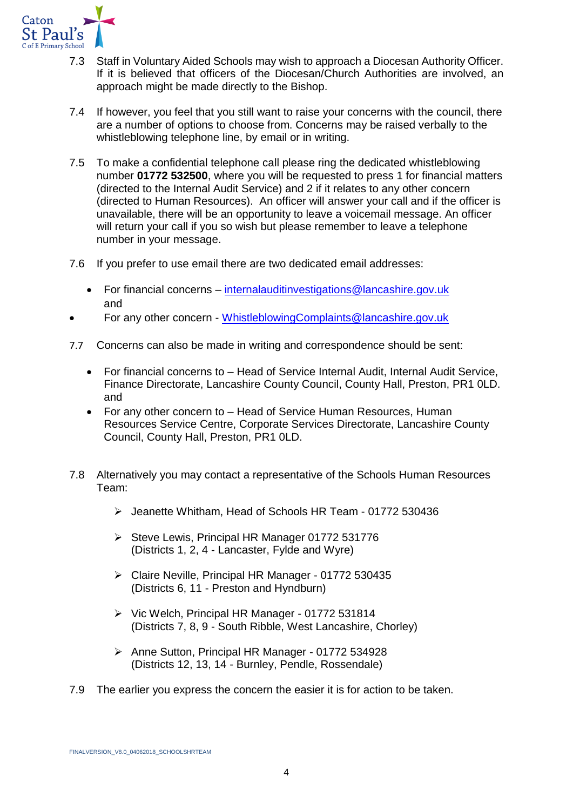

- 7.3 Staff in Voluntary Aided Schools may wish to approach a Diocesan Authority Officer. If it is believed that officers of the Diocesan/Church Authorities are involved, an approach might be made directly to the Bishop.
- 7.4 If however, you feel that you still want to raise your concerns with the council, there are a number of options to choose from. Concerns may be raised verbally to the whistleblowing telephone line, by email or in writing.
- 7.5 To make a confidential telephone call please ring the dedicated whistleblowing number **01772 532500**, where you will be requested to press 1 for financial matters (directed to the Internal Audit Service) and 2 if it relates to any other concern (directed to Human Resources). An officer will answer your call and if the officer is unavailable, there will be an opportunity to leave a voicemail message. An officer will return your call if you so wish but please remember to leave a telephone number in your message.
- 7.6 If you prefer to use email there are two dedicated email addresses:
	- For financial concerns [internalauditinvestigations@lancashire.gov.uk](mailto:internalauditinvestigations@lancashire.gov.uk) and
- For any other concern [WhistleblowingComplaints@lancashire.gov.uk](mailto:WhistleblowingComplaints@lancashire.gov.uk)
- 7.7 Concerns can also be made in writing and correspondence should be sent:
	- For financial concerns to Head of Service Internal Audit, Internal Audit Service, Finance Directorate, Lancashire County Council, County Hall, Preston, PR1 0LD. and
	- For any other concern to Head of Service Human Resources, Human Resources Service Centre, Corporate Services Directorate, Lancashire County Council, County Hall, Preston, PR1 0LD.
- 7.8 Alternatively you may contact a representative of the Schools Human Resources Team:
	- ➢ Jeanette Whitham, Head of Schools HR Team 01772 530436
	- ➢ Steve Lewis, Principal HR Manager 01772 531776 (Districts 1, 2, 4 - Lancaster, Fylde and Wyre)
	- ➢ Claire Neville, Principal HR Manager 01772 530435 (Districts 6, 11 - Preston and Hyndburn)
	- ➢ Vic Welch, Principal HR Manager 01772 531814 (Districts 7, 8, 9 - South Ribble, West Lancashire, Chorley)
	- ➢ Anne Sutton, Principal HR Manager 01772 534928 (Districts 12, 13, 14 - Burnley, Pendle, Rossendale)
- 7.9 The earlier you express the concern the easier it is for action to be taken.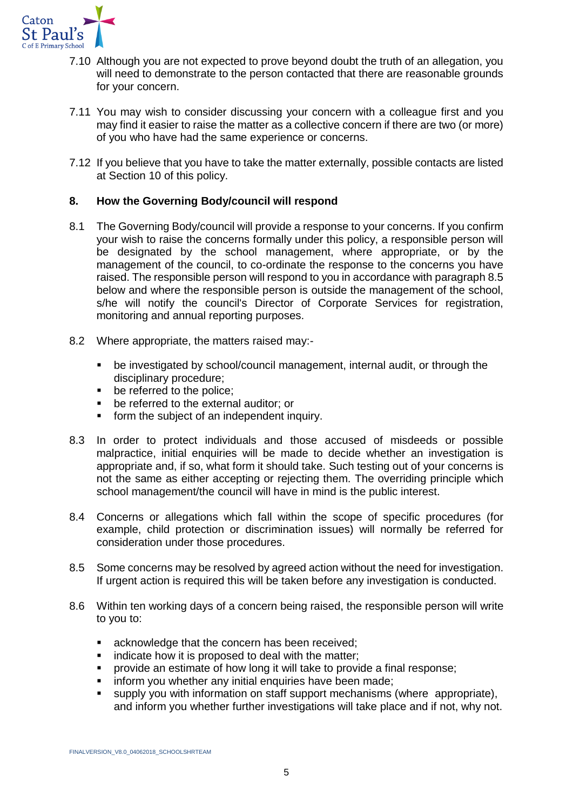

- 7.10 Although you are not expected to prove beyond doubt the truth of an allegation, you will need to demonstrate to the person contacted that there are reasonable grounds for your concern.
- 7.11 You may wish to consider discussing your concern with a colleague first and you may find it easier to raise the matter as a collective concern if there are two (or more) of you who have had the same experience or concerns.
- 7.12 If you believe that you have to take the matter externally, possible contacts are listed at Section 10 of this policy.

# **8. How the Governing Body/council will respond**

- 8.1 The Governing Body/council will provide a response to your concerns. If you confirm your wish to raise the concerns formally under this policy, a responsible person will be designated by the school management, where appropriate, or by the management of the council, to co-ordinate the response to the concerns you have raised. The responsible person will respond to you in accordance with paragraph 8.5 below and where the responsible person is outside the management of the school, s/he will notify the council's Director of Corporate Services for registration, monitoring and annual reporting purposes.
- 8.2 Where appropriate, the matters raised may:-
	- be investigated by school/council management, internal audit, or through the disciplinary procedure;
	- be referred to the police;
	- be referred to the external auditor; or
	- form the subject of an independent inquiry.
- 8.3 In order to protect individuals and those accused of misdeeds or possible malpractice, initial enquiries will be made to decide whether an investigation is appropriate and, if so, what form it should take. Such testing out of your concerns is not the same as either accepting or rejecting them. The overriding principle which school management/the council will have in mind is the public interest.
- 8.4 Concerns or allegations which fall within the scope of specific procedures (for example, child protection or discrimination issues) will normally be referred for consideration under those procedures.
- 8.5 Some concerns may be resolved by agreed action without the need for investigation. If urgent action is required this will be taken before any investigation is conducted.
- 8.6 Within ten working days of a concern being raised, the responsible person will write to you to:
	- acknowledge that the concern has been received;
	- indicate how it is proposed to deal with the matter;
	- provide an estimate of how long it will take to provide a final response;
	- inform you whether any initial enquiries have been made;
	- supply you with information on staff support mechanisms (where appropriate), and inform you whether further investigations will take place and if not, why not.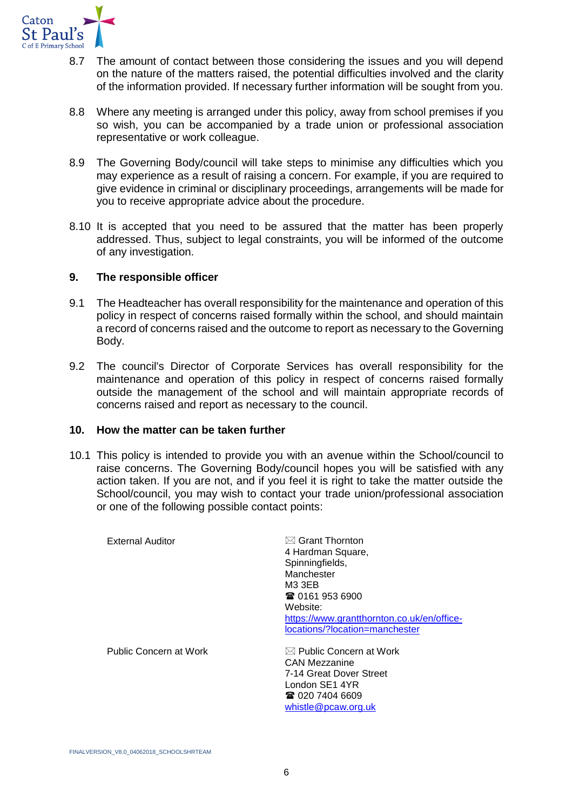

- 8.7 The amount of contact between those considering the issues and you will depend on the nature of the matters raised, the potential difficulties involved and the clarity of the information provided. If necessary further information will be sought from you.
- 8.8 Where any meeting is arranged under this policy, away from school premises if you so wish, you can be accompanied by a trade union or professional association representative or work colleague.
- 8.9 The Governing Body/council will take steps to minimise any difficulties which you may experience as a result of raising a concern. For example, if you are required to give evidence in criminal or disciplinary proceedings, arrangements will be made for you to receive appropriate advice about the procedure.
- 8.10 It is accepted that you need to be assured that the matter has been properly addressed. Thus, subject to legal constraints, you will be informed of the outcome of any investigation.

# **9. The responsible officer**

- 9.1 The Headteacher has overall responsibility for the maintenance and operation of this policy in respect of concerns raised formally within the school, and should maintain a record of concerns raised and the outcome to report as necessary to the Governing Body.
- 9.2 The council's Director of Corporate Services has overall responsibility for the maintenance and operation of this policy in respect of concerns raised formally outside the management of the school and will maintain appropriate records of concerns raised and report as necessary to the council.

# **10. How the matter can be taken further**

10.1 This policy is intended to provide you with an avenue within the School/council to raise concerns. The Governing Body/council hopes you will be satisfied with any action taken. If you are not, and if you feel it is right to take the matter outside the School/council, you may wish to contact your trade union/professional association or one of the following possible contact points:

| <b>External Auditor</b> | $\boxtimes$ Grant Thornton                 |
|-------------------------|--------------------------------------------|
|                         | 4 Hardman Square,                          |
|                         | Spinningfields,                            |
|                         | Manchester                                 |
|                         | M3 3EB                                     |
|                         | ☎ 0161 953 6900                            |
|                         | Website:                                   |
|                         | https://www.grantthornton.co.uk/en/office- |
|                         | locations/?location=manchester             |
| Public Concern at Work  | $\boxtimes$ Public Concern at Work         |
|                         | CAN Mezzanine                              |
|                         | 7-14 Great Dover Street                    |
|                         | London SE1 4YR                             |
|                         | ☎ 020 7404 6609                            |
|                         | whistle@pcaw.org.uk                        |
|                         |                                            |
|                         |                                            |

FINALVERSION\_V8.0\_04062018\_SCHOOLSHRTEAM